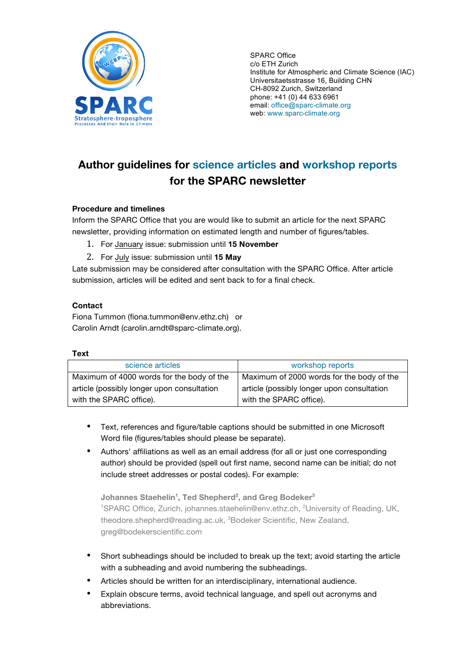

SPARC Office c/o ETH Zurich Institute for Atmospheric and Climate Science (IAC) Universitaetsstrasse 16, Building CHN CH-8092 Zurich, Switzerland phone: +41 (0) 44 633 6961 email: office@sparc-climate.org web: www.sparc-climate.org

# **Author guidelines for science articles and workshop reports for the SPARC newsletter**

# **Procedure and timelines**

Inform the SPARC Office that you are would like to submit an article for the next SPARC newsletter, providing information on estimated length and number of figures/tables.

- 1. For January issue: submission until **15 November**
- 2. For July issue: submission until **15 May**

Late submission may be considered after consultation with the SPARC Office. After article submission, articles will be edited and sent back to for a final check.

# **Contact**

Fiona Tummon (fiona.tummon@env.ethz.ch) or Carolin Arndt (carolin.arndt@sparc-climate.org).

#### **Text**

| science articles                                                      | workshop reports                                                      |
|-----------------------------------------------------------------------|-----------------------------------------------------------------------|
| Maximum of 4000 words for the body of the                             | Maximum of 2000 words for the body of the                             |
| article (possibly longer upon consultation<br>with the SPARC office). | article (possibly longer upon consultation<br>with the SPARC office). |

- Text, references and figure/table captions should be submitted in one Microsoft Word file (figures/tables should please be separate).
- Authors' affiliations as well as an email address (for all or just one corresponding author) should be provided (spell out first name, second name can be initial; do not include street addresses or postal codes). For example:

 $J$ ohannes Staehelin<sup>1</sup>, Ted Shepherd<sup>2</sup>, and Greg Bodeker $^3$ <sup>1</sup>SPARC Office, Zurich, johannes.staehelin@env.ethz.ch, <sup>2</sup>University of Reading, UK, theodore.shepherd@reading.ac.uk, <sup>3</sup>Bodeker Scientific, New Zealand, greg@bodekerscientific.com

- Short subheadings should be included to break up the text; avoid starting the article with a subheading and avoid numbering the subheadings.
- Articles should be written for an interdisciplinary, international audience.
- Explain obscure terms, avoid technical language, and spell out acronyms and abbreviations.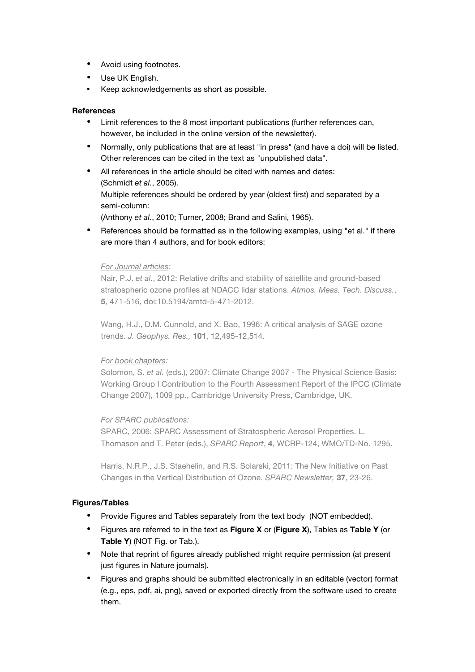- Avoid using footnotes.
- Use UK English.
- Keep acknowledgements as short as possible.

# **References**

- Limit references to the 8 most important publications (further references can, however, be included in the online version of the newsletter).
- Normally, only publications that are at least "in press" (and have a doi) will be listed. Other references can be cited in the text as "unpublished data".
- All references in the article should be cited with names and dates: (Schmidt *et al.*, 2005). Multiple references should be ordered by year (oldest first) and separated by a semi-column:

(Anthony *et al.*, 2010; Turner, 2008; Brand and Salini, 1965).

• References should be formatted as in the following examples, using "et al." if there are more than 4 authors, and for book editors:

#### *For Journal articles:*

Nair, P.J. *et al.*, 2012: Relative drifts and stability of satellite and ground-based stratospheric ozone profiles at NDACC lidar stations. *Atmos. Meas. Tech. Discuss.*, **5**, 471-516, doi:10.5194/amtd-5-471-2012.

Wang, H.J., D.M. Cunnold, and X. Bao, 1996: A critical analysis of SAGE ozone trends. *J. Geophys. Res.,* **101**, 12,495-12,514.

# *For book chapters:*

Solomon, S. *et al.* (eds.), 2007: Climate Change 2007 - The Physical Science Basis: Working Group I Contribution to the Fourth Assessment Report of the IPCC (Climate Change 2007), 1009 pp., Cambridge University Press, Cambridge, UK.

# *For SPARC publications:*

SPARC, 2006: SPARC Assessment of Stratospheric Aerosol Properties. L. Thomason and T. Peter (eds.), *SPARC Report*, **4**, WCRP-124, WMO/TD-No. 1295.

Harris, N.R.P., J.S. Staehelin, and R.S. Solarski, 2011: The New Initiative on Past Changes in the Vertical Distribution of Ozone. *SPARC Newsletter,* **37**, 23-26.

# **Figures/Tables**

- Provide Figures and Tables separately from the text body (NOT embedded).
- Figures are referred to in the text as **Figure X** or (**Figure X**), Tables as **Table Y** (or **Table Y**) (NOT Fig. or Tab.).
- Note that reprint of figures already published might require permission (at present just figures in Nature journals).
- Figures and graphs should be submitted electronically in an editable (vector) format (e.g., eps, pdf, ai, png), saved or exported directly from the software used to create them.